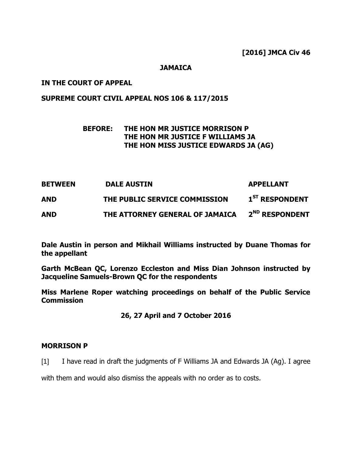## **JAMAICA**

## **IN THE COURT OF APPEAL**

# **SUPREME COURT CIVIL APPEAL NOS 106 & 117/2015**

# **BEFORE: THE HON MR JUSTICE MORRISON P THE HON MR JUSTICE F WILLIAMS JA THE HON MISS JUSTICE EDWARDS JA (AG)**

| <b>BETWEEN</b> | <b>DALE AUSTIN</b>              | <b>APPELLANT</b>           |
|----------------|---------------------------------|----------------------------|
| <b>AND</b>     | THE PUBLIC SERVICE COMMISSION   | 1 <sup>ST</sup> RESPONDENT |
| <b>AND</b>     | THE ATTORNEY GENERAL OF JAMAICA | 2 <sup>ND</sup> RESPONDENT |

**Dale Austin in person and Mikhail Williams instructed by Duane Thomas for the appellant**

**Garth McBean QC, Lorenzo Eccleston and Miss Dian Johnson instructed by Jacqueline Samuels-Brown QC for the respondents**

**Miss Marlene Roper watching proceedings on behalf of the Public Service Commission**

# **26, 27 April and 7 October 2016**

## **MORRISON P**

[1] I have read in draft the judgments of F Williams JA and Edwards JA (Ag). I agree

with them and would also dismiss the appeals with no order as to costs.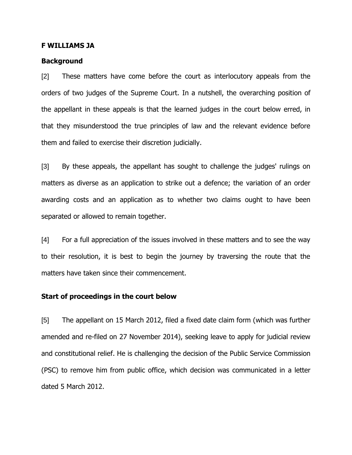#### **F WILLIAMS JA**

#### **Background**

[2] These matters have come before the court as interlocutory appeals from the orders of two judges of the Supreme Court. In a nutshell, the overarching position of the appellant in these appeals is that the learned judges in the court below erred, in that they misunderstood the true principles of law and the relevant evidence before them and failed to exercise their discretion judicially.

[3] By these appeals, the appellant has sought to challenge the judges' rulings on matters as diverse as an application to strike out a defence; the variation of an order awarding costs and an application as to whether two claims ought to have been separated or allowed to remain together.

[4] For a full appreciation of the issues involved in these matters and to see the way to their resolution, it is best to begin the journey by traversing the route that the matters have taken since their commencement.

### **Start of proceedings in the court below**

[5] The appellant on 15 March 2012, filed a fixed date claim form (which was further amended and re-filed on 27 November 2014), seeking leave to apply for judicial review and constitutional relief. He is challenging the decision of the Public Service Commission (PSC) to remove him from public office, which decision was communicated in a letter dated 5 March 2012.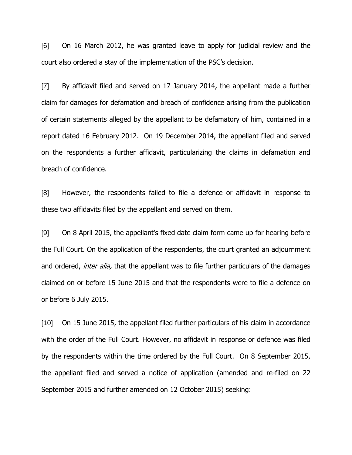[6] On 16 March 2012, he was granted leave to apply for judicial review and the court also ordered a stay of the implementation of the PSC"s decision.

[7] By affidavit filed and served on 17 January 2014, the appellant made a further claim for damages for defamation and breach of confidence arising from the publication of certain statements alleged by the appellant to be defamatory of him, contained in a report dated 16 February 2012. On 19 December 2014, the appellant filed and served on the respondents a further affidavit, particularizing the claims in defamation and breach of confidence.

[8] However, the respondents failed to file a defence or affidavit in response to these two affidavits filed by the appellant and served on them.

[9] On 8 April 2015, the appellant"s fixed date claim form came up for hearing before the Full Court. On the application of the respondents, the court granted an adjournment and ordered, *inter alia*, that the appellant was to file further particulars of the damages claimed on or before 15 June 2015 and that the respondents were to file a defence on or before 6 July 2015.

[10] On 15 June 2015, the appellant filed further particulars of his claim in accordance with the order of the Full Court. However, no affidavit in response or defence was filed by the respondents within the time ordered by the Full Court. On 8 September 2015, the appellant filed and served a notice of application (amended and re-filed on 22 September 2015 and further amended on 12 October 2015) seeking: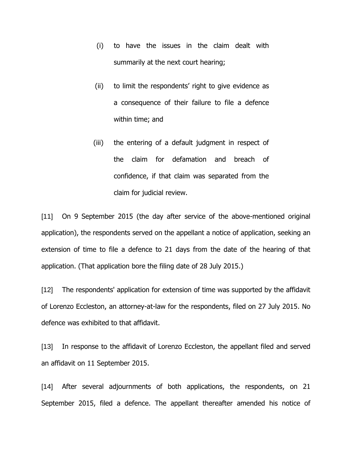- (i) to have the issues in the claim dealt with summarily at the next court hearing;
- (ii) to limit the respondents' right to give evidence as a consequence of their failure to file a defence within time; and
- (iii) the entering of a default judgment in respect of the claim for defamation and breach of confidence, if that claim was separated from the claim for judicial review.

[11] On 9 September 2015 (the day after service of the above-mentioned original application), the respondents served on the appellant a notice of application, seeking an extension of time to file a defence to 21 days from the date of the hearing of that application. (That application bore the filing date of 28 July 2015.)

[12] The respondents' application for extension of time was supported by the affidavit of Lorenzo Eccleston, an attorney-at-law for the respondents, filed on 27 July 2015. No defence was exhibited to that affidavit.

[13] In response to the affidavit of Lorenzo Eccleston, the appellant filed and served an affidavit on 11 September 2015.

[14] After several adjournments of both applications, the respondents, on 21 September 2015, filed a defence. The appellant thereafter amended his notice of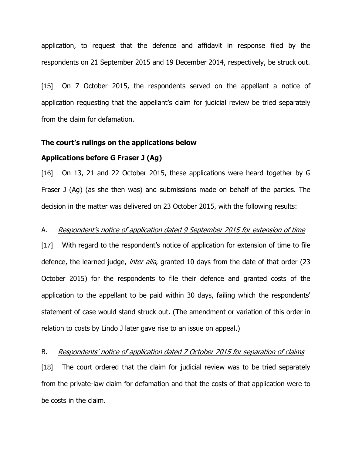application, to request that the defence and affidavit in response filed by the respondents on 21 September 2015 and 19 December 2014, respectively, be struck out.

[15] On 7 October 2015, the respondents served on the appellant a notice of application requesting that the appellant"s claim for judicial review be tried separately from the claim for defamation.

#### **The court's rulings on the applications below**

## **Applications before G Fraser J (Ag)**

[16] On 13, 21 and 22 October 2015, these applications were heard together by G Fraser J (Ag) (as she then was) and submissions made on behalf of the parties. The decision in the matter was delivered on 23 October 2015, with the following results:

## A. Respondent's notice of application dated 9 September 2015 for extension of time

[17] With regard to the respondent"s notice of application for extension of time to file defence, the learned judge, *inter alia*, granted 10 days from the date of that order (23 October 2015) for the respondents to file their defence and granted costs of the application to the appellant to be paid within 30 days, failing which the respondents' statement of case would stand struck out. (The amendment or variation of this order in relation to costs by Lindo J later gave rise to an issue on appeal.)

#### B. Respondents' notice of application dated 7 October 2015 for separation of claims

[18] The court ordered that the claim for judicial review was to be tried separately from the private-law claim for defamation and that the costs of that application were to be costs in the claim.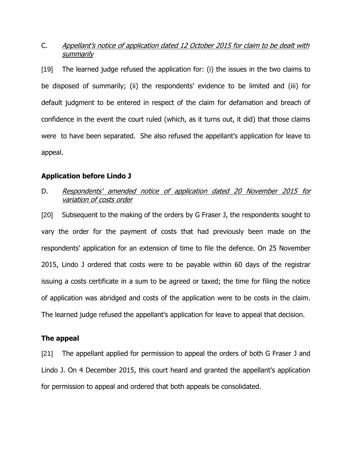# C. Appellant"s notice of application dated 12 October 2015 for claim to be dealt with summarily

[19] The learned judge refused the application for: (i) the issues in the two claims to be disposed of summarily; (ii) the respondents' evidence to be limited and (iii) for default judgment to be entered in respect of the claim for defamation and breach of confidence in the event the court ruled (which, as it turns out, it did) that those claims were to have been separated. She also refused the appellant's application for leave to appeal.

## **Application before Lindo J**

# D. Respondents' amended notice of application dated 20 November 2015 for variation of costs order

[20] Subsequent to the making of the orders by G Fraser J, the respondents sought to vary the order for the payment of costs that had previously been made on the respondents' application for an extension of time to file the defence. On 25 November 2015, Lindo J ordered that costs were to be payable within 60 days of the registrar issuing a costs certificate in a sum to be agreed or taxed; the time for filing the notice of application was abridged and costs of the application were to be costs in the claim. The learned judge refused the appellant's application for leave to appeal that decision.

## **The appeal**

[21] The appellant applied for permission to appeal the orders of both G Fraser J and Lindo J. On 4 December 2015, this court heard and granted the appellant"s application for permission to appeal and ordered that both appeals be consolidated.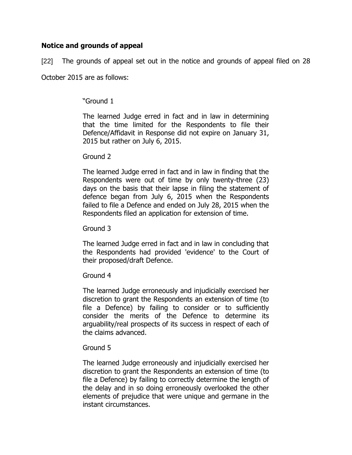# **Notice and grounds of appeal**

[22] The grounds of appeal set out in the notice and grounds of appeal filed on 28

October 2015 are as follows:

# "Ground 1

The learned Judge erred in fact and in law in determining that the time limited for the Respondents to file their Defence/Affidavit in Response did not expire on January 31, 2015 but rather on July 6, 2015.

## Ground 2

The learned Judge erred in fact and in law in finding that the Respondents were out of time by only twenty-three (23) days on the basis that their lapse in filing the statement of defence began from July 6, 2015 when the Respondents failed to file a Defence and ended on July 28, 2015 when the Respondents filed an application for extension of time.

Ground 3

The learned Judge erred in fact and in law in concluding that the Respondents had provided 'evidence' to the Court of their proposed/draft Defence.

# Ground 4

The learned Judge erroneously and injudicially exercised her discretion to grant the Respondents an extension of time (to file a Defence) by failing to consider or to sufficiently consider the merits of the Defence to determine its arguability/real prospects of its success in respect of each of the claims advanced.

# Ground 5

The learned Judge erroneously and injudicially exercised her discretion to grant the Respondents an extension of time (to file a Defence) by failing to correctly determine the length of the delay and in so doing erroneously overlooked the other elements of prejudice that were unique and germane in the instant circumstances.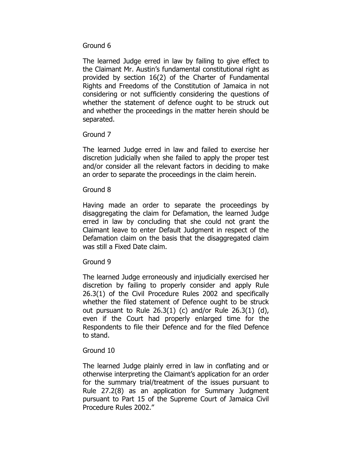# Ground 6

The learned Judge erred in law by failing to give effect to the Claimant Mr. Austin"s fundamental constitutional right as provided by section 16(2) of the Charter of Fundamental Rights and Freedoms of the Constitution of Jamaica in not considering or not sufficiently considering the questions of whether the statement of defence ought to be struck out and whether the proceedings in the matter herein should be separated.

# Ground 7

The learned Judge erred in law and failed to exercise her discretion judicially when she failed to apply the proper test and/or consider all the relevant factors in deciding to make an order to separate the proceedings in the claim herein.

## Ground 8

Having made an order to separate the proceedings by disaggregating the claim for Defamation, the learned Judge erred in law by concluding that she could not grant the Claimant leave to enter Default Judgment in respect of the Defamation claim on the basis that the disaggregated claim was still a Fixed Date claim.

# Ground 9

The learned Judge erroneously and injudicially exercised her discretion by failing to properly consider and apply Rule 26.3(1) of the Civil Procedure Rules 2002 and specifically whether the filed statement of Defence ought to be struck out pursuant to Rule  $26.3(1)$  (c) and/or Rule  $26.3(1)$  (d), even if the Court had properly enlarged time for the Respondents to file their Defence and for the filed Defence to stand.

# Ground 10

The learned Judge plainly erred in law in conflating and or otherwise interpreting the Claimant"s application for an order for the summary trial/treatment of the issues pursuant to Rule 27.2(8) as an application for Summary Judgment pursuant to Part 15 of the Supreme Court of Jamaica Civil Procedure Rules 2002."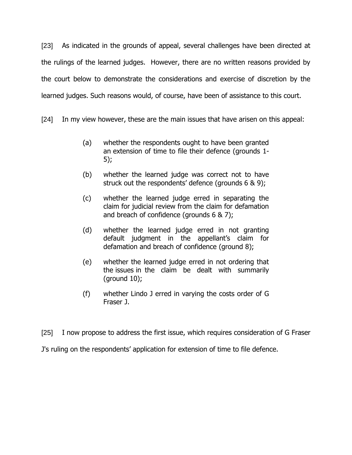[23] As indicated in the grounds of appeal, several challenges have been directed at the rulings of the learned judges. However, there are no written reasons provided by the court below to demonstrate the considerations and exercise of discretion by the learned judges. Such reasons would, of course, have been of assistance to this court.

[24] In my view however, these are the main issues that have arisen on this appeal:

- (a) whether the respondents ought to have been granted an extension of time to file their defence (grounds 1- 5);
- (b) whether the learned judge was correct not to have struck out the respondents' defence (grounds 6 & 9);
- (c) whether the learned judge erred in separating the claim for judicial review from the claim for defamation and breach of confidence (grounds 6 & 7);
- (d) whether the learned judge erred in not granting default judgment in the appellant"s claim for defamation and breach of confidence (ground 8);
- (e) whether the learned judge erred in not ordering that the issues in the claim be dealt with summarily (ground 10);
- (f) whether Lindo J erred in varying the costs order of G Fraser J.

[25] I now propose to address the first issue, which requires consideration of G Fraser J's ruling on the respondents' application for extension of time to file defence.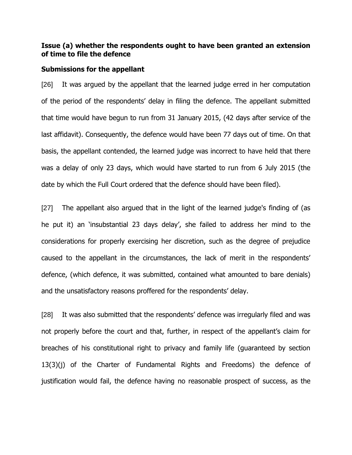## **Issue (a) whether the respondents ought to have been granted an extension of time to file the defence**

#### **Submissions for the appellant**

[26] It was argued by the appellant that the learned judge erred in her computation of the period of the respondents' delay in filing the defence. The appellant submitted that time would have begun to run from 31 January 2015, (42 days after service of the last affidavit). Consequently, the defence would have been 77 days out of time. On that basis, the appellant contended, the learned judge was incorrect to have held that there was a delay of only 23 days, which would have started to run from 6 July 2015 (the date by which the Full Court ordered that the defence should have been filed).

[27] The appellant also argued that in the light of the learned judge's finding of (as he put it) an 'insubstantial 23 days delay', she failed to address her mind to the considerations for properly exercising her discretion, such as the degree of prejudice caused to the appellant in the circumstances, the lack of merit in the respondents" defence, (which defence, it was submitted, contained what amounted to bare denials) and the unsatisfactory reasons proffered for the respondents' delay.

[28] It was also submitted that the respondents' defence was irregularly filed and was not properly before the court and that, further, in respect of the appellant"s claim for breaches of his constitutional right to privacy and family life (guaranteed by section 13(3)(j) of the Charter of Fundamental Rights and Freedoms) the defence of justification would fail, the defence having no reasonable prospect of success, as the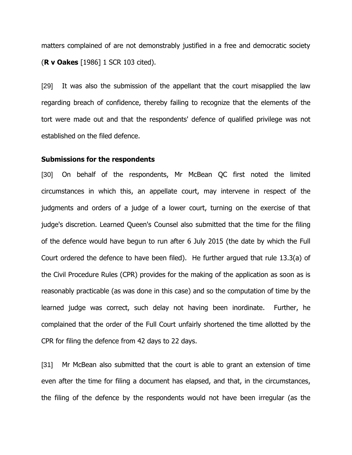matters complained of are not demonstrably justified in a free and democratic society (**R v Oakes** [1986] 1 SCR 103 cited).

[29] It was also the submission of the appellant that the court misapplied the law regarding breach of confidence, thereby failing to recognize that the elements of the tort were made out and that the respondents' defence of qualified privilege was not established on the filed defence.

#### **Submissions for the respondents**

[30] On behalf of the respondents, Mr McBean QC first noted the limited circumstances in which this, an appellate court, may intervene in respect of the judgments and orders of a judge of a lower court, turning on the exercise of that judge's discretion. Learned Queen's Counsel also submitted that the time for the filing of the defence would have begun to run after 6 July 2015 (the date by which the Full Court ordered the defence to have been filed). He further argued that rule 13.3(a) of the Civil Procedure Rules (CPR) provides for the making of the application as soon as is reasonably practicable (as was done in this case) and so the computation of time by the learned judge was correct, such delay not having been inordinate. Further, he complained that the order of the Full Court unfairly shortened the time allotted by the CPR for filing the defence from 42 days to 22 days.

[31] Mr McBean also submitted that the court is able to grant an extension of time even after the time for filing a document has elapsed, and that, in the circumstances, the filing of the defence by the respondents would not have been irregular (as the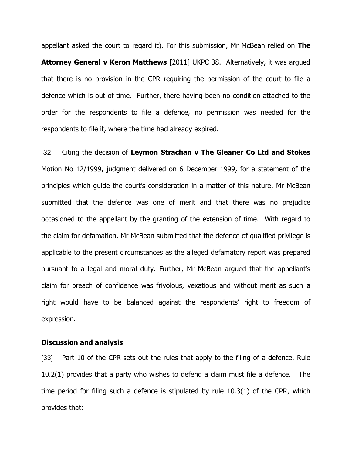appellant asked the court to regard it). For this submission, Mr McBean relied on **The Attorney General v Keron Matthews** [2011] UKPC 38. Alternatively, it was argued that there is no provision in the CPR requiring the permission of the court to file a defence which is out of time. Further, there having been no condition attached to the order for the respondents to file a defence, no permission was needed for the respondents to file it, where the time had already expired.

[32] Citing the decision of **Leymon Strachan v The Gleaner Co Ltd and Stokes** Motion No 12/1999, judgment delivered on 6 December 1999, for a statement of the principles which quide the court's consideration in a matter of this nature, Mr McBean submitted that the defence was one of merit and that there was no prejudice occasioned to the appellant by the granting of the extension of time. With regard to the claim for defamation, Mr McBean submitted that the defence of qualified privilege is applicable to the present circumstances as the alleged defamatory report was prepared pursuant to a legal and moral duty. Further, Mr McBean argued that the appellant"s claim for breach of confidence was frivolous, vexatious and without merit as such a right would have to be balanced against the respondents' right to freedom of expression.

### **Discussion and analysis**

[33] Part 10 of the CPR sets out the rules that apply to the filing of a defence. Rule 10.2(1) provides that a party who wishes to defend a claim must file a defence. The time period for filing such a defence is stipulated by rule 10.3(1) of the CPR, which provides that: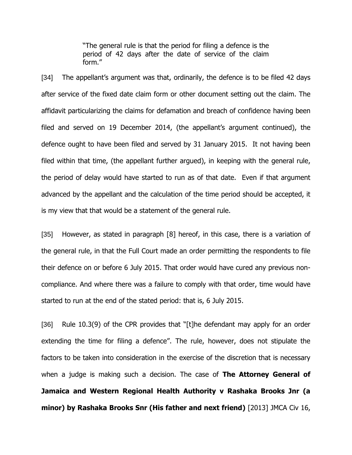"The general rule is that the period for filing a defence is the period of 42 days after the date of service of the claim form."

[34] The appellant's argument was that, ordinarily, the defence is to be filed 42 days after service of the fixed date claim form or other document setting out the claim. The affidavit particularizing the claims for defamation and breach of confidence having been filed and served on 19 December 2014, (the appellant's argument continued), the defence ought to have been filed and served by 31 January 2015. It not having been filed within that time, (the appellant further argued), in keeping with the general rule, the period of delay would have started to run as of that date. Even if that argument advanced by the appellant and the calculation of the time period should be accepted, it is my view that that would be a statement of the general rule.

[35] However, as stated in paragraph [8] hereof, in this case, there is a variation of the general rule, in that the Full Court made an order permitting the respondents to file their defence on or before 6 July 2015. That order would have cured any previous noncompliance. And where there was a failure to comply with that order, time would have started to run at the end of the stated period: that is, 6 July 2015.

[36] Rule 10.3(9) of the CPR provides that "[t]he defendant may apply for an order extending the time for filing a defence". The rule, however, does not stipulate the factors to be taken into consideration in the exercise of the discretion that is necessary when a judge is making such a decision. The case of **The Attorney General of Jamaica and Western Regional Health Authority v Rashaka Brooks Jnr (a minor) by Rashaka Brooks Snr (His father and next friend)** [2013] JMCA Civ 16,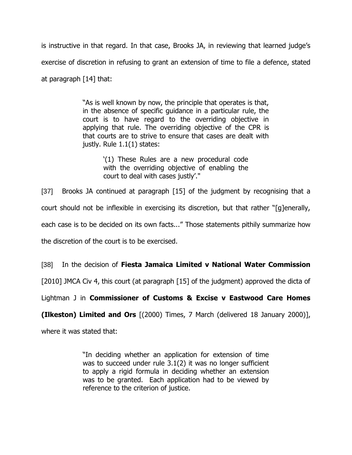is instructive in that regard. In that case, Brooks JA, in reviewing that learned judge"s exercise of discretion in refusing to grant an extension of time to file a defence, stated at paragraph [14] that:

> "As is well known by now, the principle that operates is that, in the absence of specific guidance in a particular rule, the court is to have regard to the overriding objective in applying that rule. The overriding objective of the CPR is that courts are to strive to ensure that cases are dealt with justly. Rule 1.1(1) states:

> > "(1) These Rules are a new procedural code with the overriding objective of enabling the court to deal with cases justly'."

[37] Brooks JA continued at paragraph [15] of the judgment by recognising that a court should not be inflexible in exercising its discretion, but that rather "[g]enerally, each case is to be decided on its own facts..." Those statements pithily summarize how the discretion of the court is to be exercised.

[38] In the decision of **Fiesta Jamaica Limited v National Water Commission**

[2010] JMCA Civ 4, this court (at paragraph [15] of the judgment) approved the dicta of

Lightman J in **Commissioner of Customs & Excise v Eastwood Care Homes** 

**(Ilkeston) Limited and Ors** [(2000) Times, 7 March (delivered 18 January 2000)],

where it was stated that:

"In deciding whether an application for extension of time was to succeed under rule 3.1(2) it was no longer sufficient to apply a rigid formula in deciding whether an extension was to be granted. Each application had to be viewed by reference to the criterion of justice.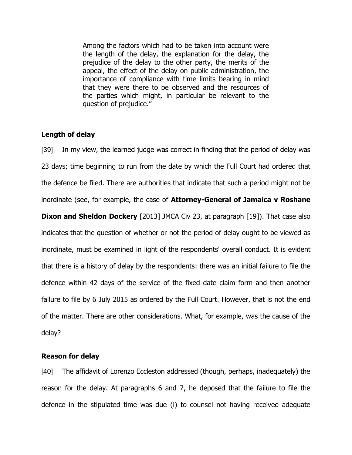Among the factors which had to be taken into account were the length of the delay, the explanation for the delay, the prejudice of the delay to the other party, the merits of the appeal, the effect of the delay on public administration, the importance of compliance with time limits bearing in mind that they were there to be observed and the resources of the parties which might, in particular be relevant to the question of prejudice."

## **Length of delay**

[39] In my view, the learned judge was correct in finding that the period of delay was 23 days; time beginning to run from the date by which the Full Court had ordered that the defence be filed. There are authorities that indicate that such a period might not be inordinate (see, for example, the case of **Attorney-General of Jamaica v Roshane Dixon and Sheldon Dockery** [2013] JMCA Civ 23, at paragraph [19]). That case also indicates that the question of whether or not the period of delay ought to be viewed as inordinate, must be examined in light of the respondents' overall conduct. It is evident that there is a history of delay by the respondents: there was an initial failure to file the defence within 42 days of the service of the fixed date claim form and then another failure to file by 6 July 2015 as ordered by the Full Court. However, that is not the end of the matter. There are other considerations. What, for example, was the cause of the delay?

## **Reason for delay**

[40] The affidavit of Lorenzo Eccleston addressed (though, perhaps, inadequately) the reason for the delay. At paragraphs 6 and 7, he deposed that the failure to file the defence in the stipulated time was due (i) to counsel not having received adequate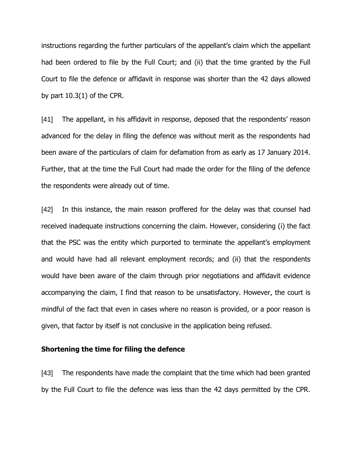instructions regarding the further particulars of the appellant's claim which the appellant had been ordered to file by the Full Court; and (ii) that the time granted by the Full Court to file the defence or affidavit in response was shorter than the 42 days allowed by part 10.3(1) of the CPR.

[41] The appellant, in his affidavit in response, deposed that the respondents' reason advanced for the delay in filing the defence was without merit as the respondents had been aware of the particulars of claim for defamation from as early as 17 January 2014. Further, that at the time the Full Court had made the order for the filing of the defence the respondents were already out of time.

[42] In this instance, the main reason proffered for the delay was that counsel had received inadequate instructions concerning the claim. However, considering (i) the fact that the PSC was the entity which purported to terminate the appellant"s employment and would have had all relevant employment records; and (ii) that the respondents would have been aware of the claim through prior negotiations and affidavit evidence accompanying the claim, I find that reason to be unsatisfactory. However, the court is mindful of the fact that even in cases where no reason is provided, or a poor reason is given, that factor by itself is not conclusive in the application being refused.

### **Shortening the time for filing the defence**

[43] The respondents have made the complaint that the time which had been granted by the Full Court to file the defence was less than the 42 days permitted by the CPR.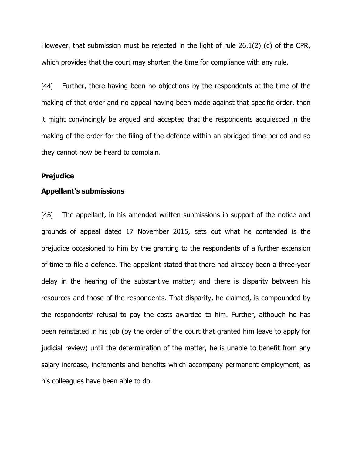However, that submission must be rejected in the light of rule 26.1(2) (c) of the CPR, which provides that the court may shorten the time for compliance with any rule.

[44] Further, there having been no objections by the respondents at the time of the making of that order and no appeal having been made against that specific order, then it might convincingly be argued and accepted that the respondents acquiesced in the making of the order for the filing of the defence within an abridged time period and so they cannot now be heard to complain.

### **Prejudice**

## **Appellant's submissions**

[45] The appellant, in his amended written submissions in support of the notice and grounds of appeal dated 17 November 2015, sets out what he contended is the prejudice occasioned to him by the granting to the respondents of a further extension of time to file a defence. The appellant stated that there had already been a three-year delay in the hearing of the substantive matter; and there is disparity between his resources and those of the respondents. That disparity, he claimed, is compounded by the respondents' refusal to pay the costs awarded to him. Further, although he has been reinstated in his job (by the order of the court that granted him leave to apply for judicial review) until the determination of the matter, he is unable to benefit from any salary increase, increments and benefits which accompany permanent employment, as his colleagues have been able to do.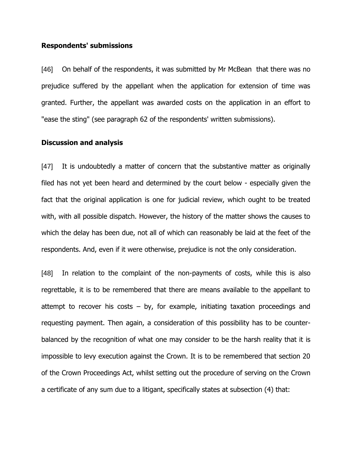### **Respondents' submissions**

[46] On behalf of the respondents, it was submitted by Mr McBean that there was no prejudice suffered by the appellant when the application for extension of time was granted. Further, the appellant was awarded costs on the application in an effort to "ease the sting" (see paragraph 62 of the respondents' written submissions).

### **Discussion and analysis**

[47] It is undoubtedly a matter of concern that the substantive matter as originally filed has not yet been heard and determined by the court below - especially given the fact that the original application is one for judicial review, which ought to be treated with, with all possible dispatch. However, the history of the matter shows the causes to which the delay has been due, not all of which can reasonably be laid at the feet of the respondents. And, even if it were otherwise, prejudice is not the only consideration.

[48] In relation to the complaint of the non-payments of costs, while this is also regrettable, it is to be remembered that there are means available to the appellant to attempt to recover his costs  $-$  by, for example, initiating taxation proceedings and requesting payment. Then again, a consideration of this possibility has to be counterbalanced by the recognition of what one may consider to be the harsh reality that it is impossible to levy execution against the Crown. It is to be remembered that section 20 of the Crown Proceedings Act, whilst setting out the procedure of serving on the Crown a certificate of any sum due to a litigant, specifically states at subsection (4) that: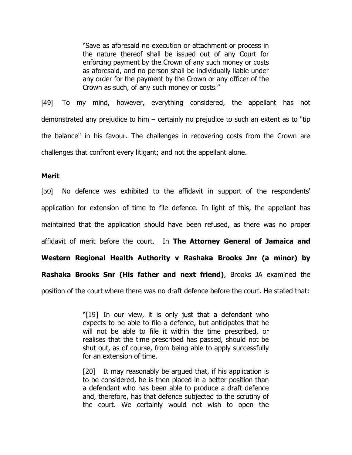"Save as aforesaid no execution or attachment or process in the nature thereof shall be issued out of any Court for enforcing payment by the Crown of any such money or costs as aforesaid, and no person shall be individually liable under any order for the payment by the Crown or any officer of the Crown as such, of any such money or costs."

[49] To my mind, however, everything considered, the appellant has not demonstrated any prejudice to him – certainly no prejudice to such an extent as to "tip the balance" in his favour. The challenges in recovering costs from the Crown are challenges that confront every litigant; and not the appellant alone.

#### **Merit**

[50] No defence was exhibited to the affidavit in support of the respondents' application for extension of time to file defence. In light of this, the appellant has maintained that the application should have been refused, as there was no proper affidavit of merit before the court. In **The Attorney General of Jamaica and Western Regional Health Authority v Rashaka Brooks Jnr (a minor) by Rashaka Brooks Snr (His father and next friend)**, Brooks JA examined the position of the court where there was no draft defence before the court. He stated that:

> "[19] In our view, it is only just that a defendant who expects to be able to file a defence, but anticipates that he will not be able to file it within the time prescribed, or realises that the time prescribed has passed, should not be shut out, as of course, from being able to apply successfully for an extension of time.

> [20] It may reasonably be argued that, if his application is to be considered, he is then placed in a better position than a defendant who has been able to produce a draft defence and, therefore, has that defence subjected to the scrutiny of the court. We certainly would not wish to open the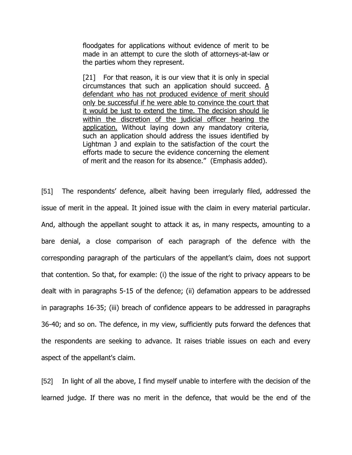floodgates for applications without evidence of merit to be made in an attempt to cure the sloth of attorneys-at-law or the parties whom they represent.

[21] For that reason, it is our view that it is only in special circumstances that such an application should succeed. A defendant who has not produced evidence of merit should only be successful if he were able to convince the court that it would be just to extend the time. The decision should lie within the discretion of the judicial officer hearing the application. Without laying down any mandatory criteria, such an application should address the issues identified by Lightman J and explain to the satisfaction of the court the efforts made to secure the evidence concerning the element of merit and the reason for its absence." (Emphasis added).

[51] The respondents' defence, albeit having been irregularly filed, addressed the issue of merit in the appeal. It joined issue with the claim in every material particular. And, although the appellant sought to attack it as, in many respects, amounting to a bare denial, a close comparison of each paragraph of the defence with the corresponding paragraph of the particulars of the appellant"s claim, does not support that contention. So that, for example: (i) the issue of the right to privacy appears to be dealt with in paragraphs 5-15 of the defence; (ii) defamation appears to be addressed in paragraphs 16-35; (iii) breach of confidence appears to be addressed in paragraphs 36-40; and so on. The defence, in my view, sufficiently puts forward the defences that the respondents are seeking to advance. It raises triable issues on each and every aspect of the appellant's claim.

[52] In light of all the above, I find myself unable to interfere with the decision of the learned judge. If there was no merit in the defence, that would be the end of the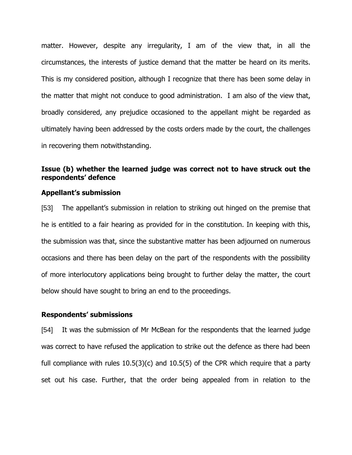matter. However, despite any irregularity, I am of the view that, in all the circumstances, the interests of justice demand that the matter be heard on its merits. This is my considered position, although I recognize that there has been some delay in the matter that might not conduce to good administration. I am also of the view that, broadly considered, any prejudice occasioned to the appellant might be regarded as ultimately having been addressed by the costs orders made by the court, the challenges in recovering them notwithstanding.

# **Issue (b) whether the learned judge was correct not to have struck out the respondents' defence**

## **Appellant's submission**

[53] The appellant's submission in relation to striking out hinged on the premise that he is entitled to a fair hearing as provided for in the constitution. In keeping with this, the submission was that, since the substantive matter has been adjourned on numerous occasions and there has been delay on the part of the respondents with the possibility of more interlocutory applications being brought to further delay the matter, the court below should have sought to bring an end to the proceedings.

### **Respondents' submissions**

[54] It was the submission of Mr McBean for the respondents that the learned judge was correct to have refused the application to strike out the defence as there had been full compliance with rules  $10.5(3)(c)$  and  $10.5(5)$  of the CPR which require that a party set out his case. Further, that the order being appealed from in relation to the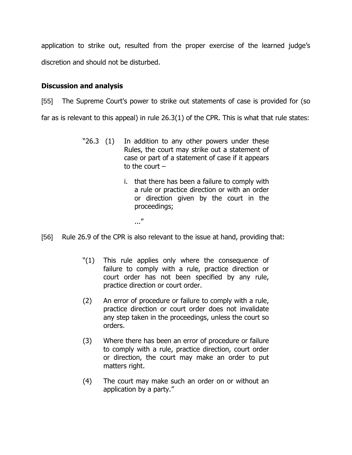application to strike out, resulted from the proper exercise of the learned judge"s discretion and should not be disturbed.

# **Discussion and analysis**

[55] The Supreme Court's power to strike out statements of case is provided for (so far as is relevant to this appeal) in rule 26.3(1) of the CPR. This is what that rule states:

- "26.3 (1) In addition to any other powers under these Rules, the court may strike out a statement of case or part of a statement of case if it appears to the court  $$ 
	- i. that there has been a failure to comply with a rule or practice direction or with an order or direction given by the court in the proceedings;
		- ..."
- [56] Rule 26.9 of the CPR is also relevant to the issue at hand, providing that:
	- "(1) This rule applies only where the consequence of failure to comply with a rule, practice direction or court order has not been specified by any rule, practice direction or court order.
	- (2) An error of procedure or failure to comply with a rule, practice direction or court order does not invalidate any step taken in the proceedings, unless the court so orders.
	- (3) Where there has been an error of procedure or failure to comply with a rule, practice direction, court order or direction, the court may make an order to put matters right.
	- (4) The court may make such an order on or without an application by a party."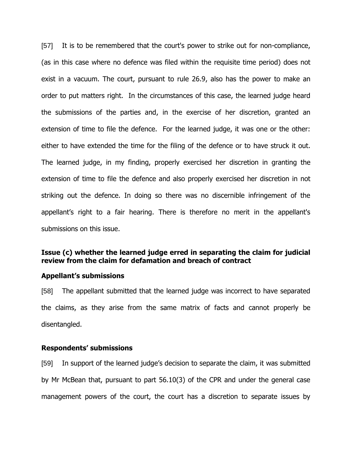[57] It is to be remembered that the court's power to strike out for non-compliance, (as in this case where no defence was filed within the requisite time period) does not exist in a vacuum. The court, pursuant to rule 26.9, also has the power to make an order to put matters right. In the circumstances of this case, the learned judge heard the submissions of the parties and, in the exercise of her discretion, granted an extension of time to file the defence. For the learned judge, it was one or the other: either to have extended the time for the filing of the defence or to have struck it out. The learned judge, in my finding, properly exercised her discretion in granting the extension of time to file the defence and also properly exercised her discretion in not striking out the defence. In doing so there was no discernible infringement of the appellant"s right to a fair hearing. There is therefore no merit in the appellant's submissions on this issue.

# **Issue (c) whether the learned judge erred in separating the claim for judicial review from the claim for defamation and breach of contract**

#### **Appellant's submissions**

[58] The appellant submitted that the learned judge was incorrect to have separated the claims, as they arise from the same matrix of facts and cannot properly be disentangled.

### **Respondents' submissions**

[59] In support of the learned judge's decision to separate the claim, it was submitted by Mr McBean that, pursuant to part 56.10(3) of the CPR and under the general case management powers of the court, the court has a discretion to separate issues by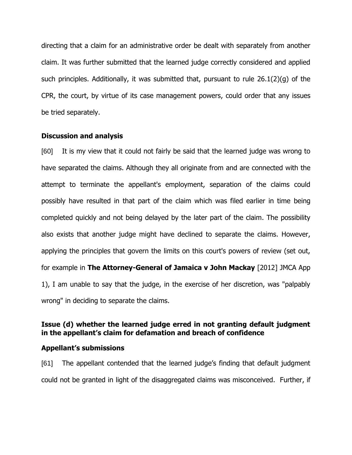directing that a claim for an administrative order be dealt with separately from another claim. It was further submitted that the learned judge correctly considered and applied such principles. Additionally, it was submitted that, pursuant to rule 26.1(2)(g) of the CPR, the court, by virtue of its case management powers, could order that any issues be tried separately.

## **Discussion and analysis**

[60] It is my view that it could not fairly be said that the learned judge was wrong to have separated the claims. Although they all originate from and are connected with the attempt to terminate the appellant's employment, separation of the claims could possibly have resulted in that part of the claim which was filed earlier in time being completed quickly and not being delayed by the later part of the claim. The possibility also exists that another judge might have declined to separate the claims. However, applying the principles that govern the limits on this court's powers of review (set out, for example in **The Attorney-General of Jamaica v John Mackay** [2012] JMCA App 1), I am unable to say that the judge, in the exercise of her discretion, was "palpably wrong" in deciding to separate the claims.

# **Issue (d) whether the learned judge erred in not granting default judgment in the appellant's claim for defamation and breach of confidence**

## **Appellant's submissions**

[61] The appellant contended that the learned judge"s finding that default judgment could not be granted in light of the disaggregated claims was misconceived. Further, if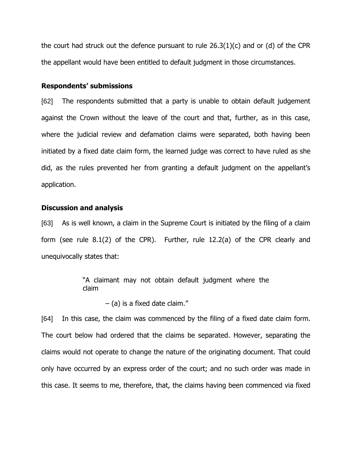the court had struck out the defence pursuant to rule 26.3(1)(c) and or (d) of the CPR the appellant would have been entitled to default judgment in those circumstances.

## **Respondents' submissions**

[62] The respondents submitted that a party is unable to obtain default judgement against the Crown without the leave of the court and that, further, as in this case, where the judicial review and defamation claims were separated, both having been initiated by a fixed date claim form, the learned judge was correct to have ruled as she did, as the rules prevented her from granting a default judgment on the appellant"s application.

### **Discussion and analysis**

[63] As is well known, a claim in the Supreme Court is initiated by the filing of a claim form (see rule 8.1(2) of the CPR). Further, rule 12.2(a) of the CPR clearly and unequivocally states that:

> "A claimant may not obtain default judgment where the claim

> > – (a) is a fixed date claim."

[64] In this case, the claim was commenced by the filing of a fixed date claim form. The court below had ordered that the claims be separated. However, separating the claims would not operate to change the nature of the originating document. That could only have occurred by an express order of the court; and no such order was made in this case. It seems to me, therefore, that, the claims having been commenced via fixed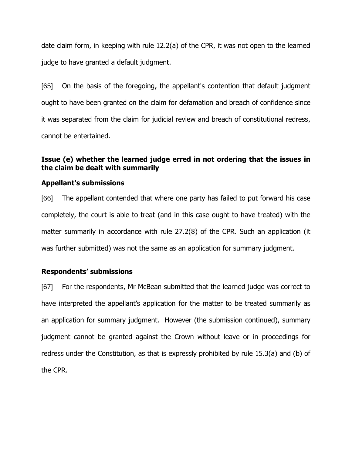date claim form, in keeping with rule 12.2(a) of the CPR, it was not open to the learned judge to have granted a default judgment.

[65] On the basis of the foregoing, the appellant's contention that default judgment ought to have been granted on the claim for defamation and breach of confidence since it was separated from the claim for judicial review and breach of constitutional redress, cannot be entertained.

# **Issue (e) whether the learned judge erred in not ordering that the issues in the claim be dealt with summarily**

# **Appellant's submissions**

[66] The appellant contended that where one party has failed to put forward his case completely, the court is able to treat (and in this case ought to have treated) with the matter summarily in accordance with rule 27.2(8) of the CPR. Such an application (it was further submitted) was not the same as an application for summary judgment.

# **Respondents' submissions**

[67] For the respondents, Mr McBean submitted that the learned judge was correct to have interpreted the appellant's application for the matter to be treated summarily as an application for summary judgment. However (the submission continued), summary judgment cannot be granted against the Crown without leave or in proceedings for redress under the Constitution, as that is expressly prohibited by rule 15.3(a) and (b) of the CPR.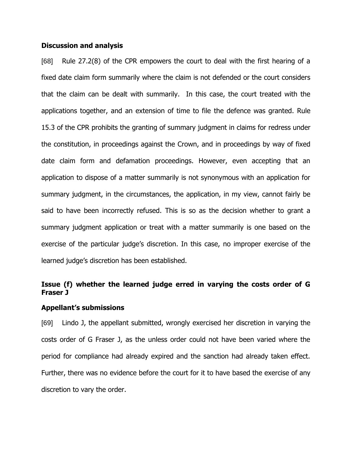## **Discussion and analysis**

[68] Rule 27.2(8) of the CPR empowers the court to deal with the first hearing of a fixed date claim form summarily where the claim is not defended or the court considers that the claim can be dealt with summarily. In this case, the court treated with the applications together, and an extension of time to file the defence was granted. Rule 15.3 of the CPR prohibits the granting of summary judgment in claims for redress under the constitution, in proceedings against the Crown, and in proceedings by way of fixed date claim form and defamation proceedings. However, even accepting that an application to dispose of a matter summarily is not synonymous with an application for summary judgment, in the circumstances, the application, in my view, cannot fairly be said to have been incorrectly refused. This is so as the decision whether to grant a summary judgment application or treat with a matter summarily is one based on the exercise of the particular judge's discretion. In this case, no improper exercise of the learned judge"s discretion has been established.

# **Issue (f) whether the learned judge erred in varying the costs order of G Fraser J**

## **Appellant's submissions**

[69] Lindo J, the appellant submitted, wrongly exercised her discretion in varying the costs order of G Fraser J, as the unless order could not have been varied where the period for compliance had already expired and the sanction had already taken effect. Further, there was no evidence before the court for it to have based the exercise of any discretion to vary the order.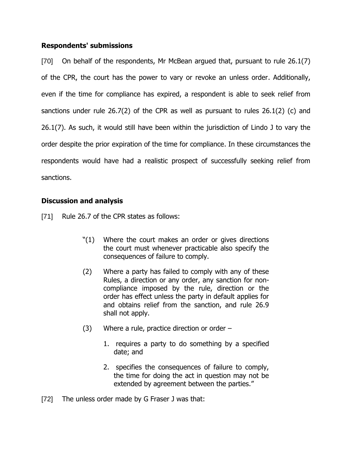# **Respondents' submissions**

[70] On behalf of the respondents, Mr McBean argued that, pursuant to rule 26.1(7) of the CPR, the court has the power to vary or revoke an unless order. Additionally, even if the time for compliance has expired, a respondent is able to seek relief from sanctions under rule 26.7(2) of the CPR as well as pursuant to rules 26.1(2) (c) and 26.1(7). As such, it would still have been within the jurisdiction of Lindo J to vary the order despite the prior expiration of the time for compliance. In these circumstances the respondents would have had a realistic prospect of successfully seeking relief from sanctions.

# **Discussion and analysis**

- [71] Rule 26.7 of the CPR states as follows:
	- "(1) Where the court makes an order or gives directions the court must whenever practicable also specify the consequences of failure to comply.
	- (2) Where a party has failed to comply with any of these Rules, a direction or any order, any sanction for noncompliance imposed by the rule, direction or the order has effect unless the party in default applies for and obtains relief from the sanction, and rule 26.9 shall not apply.
	- (3) Where a rule, practice direction or order
		- 1. requires a party to do something by a specified date; and
		- 2. specifies the consequences of failure to comply, the time for doing the act in question may not be extended by agreement between the parties."
- [72] The unless order made by G Fraser J was that: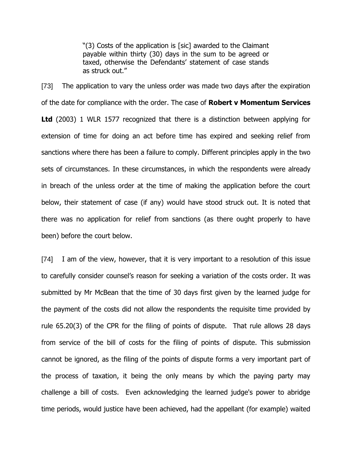"(3) Costs of the application is [sic] awarded to the Claimant payable within thirty (30) days in the sum to be agreed or taxed, otherwise the Defendants' statement of case stands as struck out."

[73] The application to vary the unless order was made two days after the expiration of the date for compliance with the order. The case of **Robert v Momentum Services Ltd** (2003) 1 WLR 1577 recognized that there is a distinction between applying for extension of time for doing an act before time has expired and seeking relief from sanctions where there has been a failure to comply. Different principles apply in the two sets of circumstances. In these circumstances, in which the respondents were already in breach of the unless order at the time of making the application before the court below, their statement of case (if any) would have stood struck out. It is noted that there was no application for relief from sanctions (as there ought properly to have been) before the court below.

[74] I am of the view, however, that it is very important to a resolution of this issue to carefully consider counsel's reason for seeking a variation of the costs order. It was submitted by Mr McBean that the time of 30 days first given by the learned judge for the payment of the costs did not allow the respondents the requisite time provided by rule 65.20(3) of the CPR for the filing of points of dispute. That rule allows 28 days from service of the bill of costs for the filing of points of dispute. This submission cannot be ignored, as the filing of the points of dispute forms a very important part of the process of taxation, it being the only means by which the paying party may challenge a bill of costs. Even acknowledging the learned judge's power to abridge time periods, would justice have been achieved, had the appellant (for example) waited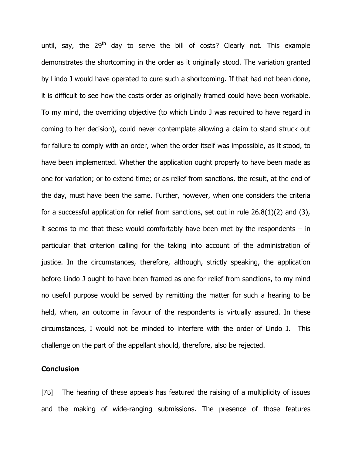until, say, the  $29<sup>th</sup>$  day to serve the bill of costs? Clearly not. This example demonstrates the shortcoming in the order as it originally stood. The variation granted by Lindo J would have operated to cure such a shortcoming. If that had not been done, it is difficult to see how the costs order as originally framed could have been workable. To my mind, the overriding objective (to which Lindo J was required to have regard in coming to her decision), could never contemplate allowing a claim to stand struck out for failure to comply with an order, when the order itself was impossible, as it stood, to have been implemented. Whether the application ought properly to have been made as one for variation; or to extend time; or as relief from sanctions, the result, at the end of the day, must have been the same. Further, however, when one considers the criteria for a successful application for relief from sanctions, set out in rule  $26.8(1)(2)$  and  $(3)$ , it seems to me that these would comfortably have been met by the respondents  $-$  in particular that criterion calling for the taking into account of the administration of justice. In the circumstances, therefore, although, strictly speaking, the application before Lindo J ought to have been framed as one for relief from sanctions, to my mind no useful purpose would be served by remitting the matter for such a hearing to be held, when, an outcome in favour of the respondents is virtually assured. In these circumstances, I would not be minded to interfere with the order of Lindo J. This challenge on the part of the appellant should, therefore, also be rejected.

## **Conclusion**

[75] The hearing of these appeals has featured the raising of a multiplicity of issues and the making of wide-ranging submissions. The presence of those features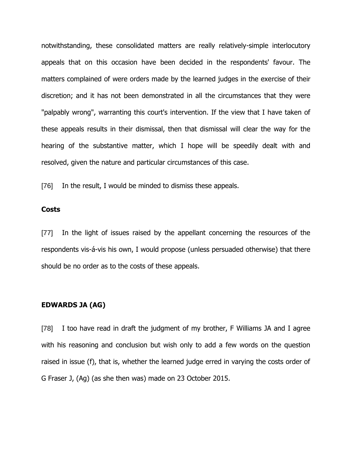notwithstanding, these consolidated matters are really relatively-simple interlocutory appeals that on this occasion have been decided in the respondents' favour. The matters complained of were orders made by the learned judges in the exercise of their discretion; and it has not been demonstrated in all the circumstances that they were "palpably wrong", warranting this court's intervention. If the view that I have taken of these appeals results in their dismissal, then that dismissal will clear the way for the hearing of the substantive matter, which I hope will be speedily dealt with and resolved, given the nature and particular circumstances of this case.

[76] In the result, I would be minded to dismiss these appeals.

# **Costs**

[77] In the light of issues raised by the appellant concerning the resources of the respondents vis-á-vis his own, I would propose (unless persuaded otherwise) that there should be no order as to the costs of these appeals.

## **EDWARDS JA (AG)**

[78] I too have read in draft the judgment of my brother, F Williams JA and I agree with his reasoning and conclusion but wish only to add a few words on the question raised in issue (f), that is, whether the learned judge erred in varying the costs order of G Fraser J, (Ag) (as she then was) made on 23 October 2015.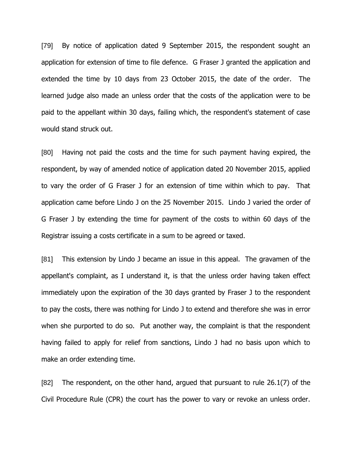[79] By notice of application dated 9 September 2015, the respondent sought an application for extension of time to file defence. G Fraser J granted the application and extended the time by 10 days from 23 October 2015, the date of the order. The learned judge also made an unless order that the costs of the application were to be paid to the appellant within 30 days, failing which, the respondent's statement of case would stand struck out.

[80] Having not paid the costs and the time for such payment having expired, the respondent, by way of amended notice of application dated 20 November 2015, applied to vary the order of G Fraser J for an extension of time within which to pay. That application came before Lindo J on the 25 November 2015. Lindo J varied the order of G Fraser J by extending the time for payment of the costs to within 60 days of the Registrar issuing a costs certificate in a sum to be agreed or taxed.

[81] This extension by Lindo J became an issue in this appeal. The gravamen of the appellant's complaint, as I understand it, is that the unless order having taken effect immediately upon the expiration of the 30 days granted by Fraser J to the respondent to pay the costs, there was nothing for Lindo J to extend and therefore she was in error when she purported to do so. Put another way, the complaint is that the respondent having failed to apply for relief from sanctions, Lindo J had no basis upon which to make an order extending time.

[82] The respondent, on the other hand, argued that pursuant to rule 26.1(7) of the Civil Procedure Rule (CPR) the court has the power to vary or revoke an unless order.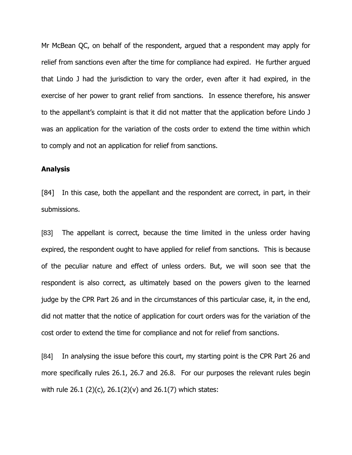Mr McBean QC, on behalf of the respondent, argued that a respondent may apply for relief from sanctions even after the time for compliance had expired. He further argued that Lindo J had the jurisdiction to vary the order, even after it had expired, in the exercise of her power to grant relief from sanctions. In essence therefore, his answer to the appellant"s complaint is that it did not matter that the application before Lindo J was an application for the variation of the costs order to extend the time within which to comply and not an application for relief from sanctions.

## **Analysis**

[84] In this case, both the appellant and the respondent are correct, in part, in their submissions.

[83] The appellant is correct, because the time limited in the unless order having expired, the respondent ought to have applied for relief from sanctions. This is because of the peculiar nature and effect of unless orders. But, we will soon see that the respondent is also correct, as ultimately based on the powers given to the learned judge by the CPR Part 26 and in the circumstances of this particular case, it, in the end, did not matter that the notice of application for court orders was for the variation of the cost order to extend the time for compliance and not for relief from sanctions.

[84] In analysing the issue before this court, my starting point is the CPR Part 26 and more specifically rules 26.1, 26.7 and 26.8. For our purposes the relevant rules begin with rule 26.1 (2)(c), 26.1(2)(v) and 26.1(7) which states: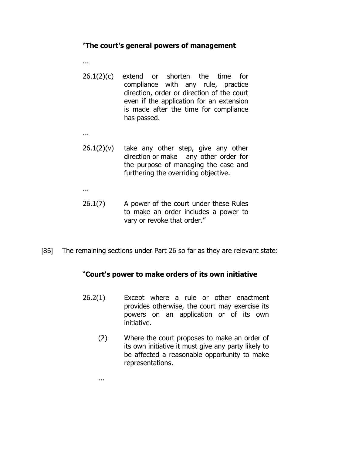# "**The court's general powers of management**

...

...

- 26.1(2)(c) extend or shorten the time for compliance with any rule, practice direction, order or direction of the court even if the application for an extension is made after the time for compliance has passed.
- $26.1(2)(v)$  take any other step, give any other direction or make any other order for the purpose of managing the case and furthering the overriding objective.

...

- 26.1(7) A power of the court under these Rules to make an order includes a power to vary or revoke that order."
- [85] The remaining sections under Part 26 so far as they are relevant state:

# "**Court's power to make orders of its own initiative**

- 26.2(1) Except where a rule or other enactment provides otherwise, the court may exercise its powers on an application or of its own initiative.
	- (2) Where the court proposes to make an order of its own initiative it must give any party likely to be affected a reasonable opportunity to make representations.

...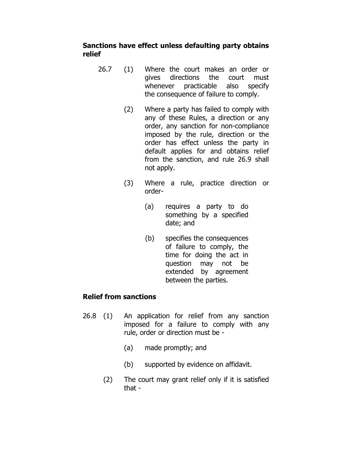# **Sanctions have effect unless defaulting party obtains relief**

- 26.7 (1) Where the court makes an order or gives directions the court must whenever practicable also specify the consequence of failure to comply.
	- (2) Where a party has failed to comply with any of these Rules, a direction or any order, any sanction for non-compliance imposed by the rule, direction or the order has effect unless the party in default applies for and obtains relief from the sanction, and rule 26.9 shall not apply.
	- (3) Where a rule, practice direction or order-
		- (a) requires a party to do something by a specified date; and
		- (b) specifies the consequences of failure to comply, the time for doing the act in question may not be extended by agreement between the parties.

# **Relief from sanctions**

- 26.8 (1) An application for relief from any sanction imposed for a failure to comply with any rule, order or direction must be -
	- (a) made promptly; and
	- (b) supported by evidence on affidavit.
	- (2) The court may grant relief only if it is satisfied that -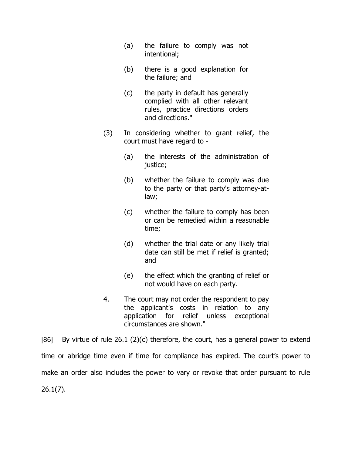- (a) the failure to comply was not intentional;
- (b) there is a good explanation for the failure; and
- (c) the party in default has generally complied with all other relevant rules, practice directions orders and directions."
- (3) In considering whether to grant relief, the court must have regard to -
	- (a) the interests of the administration of justice:
	- (b) whether the failure to comply was due to the party or that party's attorney-atlaw;
	- (c) whether the failure to comply has been or can be remedied within a reasonable time;
	- (d) whether the trial date or any likely trial date can still be met if relief is granted; and
	- (e) the effect which the granting of relief or not would have on each party.
- 4. The court may not order the respondent to pay the applicant's costs in relation to any application for relief unless exceptional circumstances are shown."

[86] By virtue of rule  $26.1$  (2)(c) therefore, the court, has a general power to extend time or abridge time even if time for compliance has expired. The court's power to make an order also includes the power to vary or revoke that order pursuant to rule 26.1(7).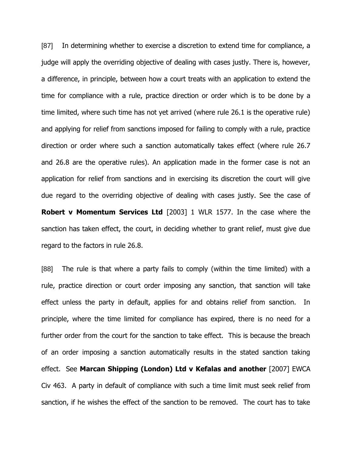[87] In determining whether to exercise a discretion to extend time for compliance, a judge will apply the overriding objective of dealing with cases justly. There is, however, a difference, in principle, between how a court treats with an application to extend the time for compliance with a rule, practice direction or order which is to be done by a time limited, where such time has not yet arrived (where rule 26.1 is the operative rule) and applying for relief from sanctions imposed for failing to comply with a rule, practice direction or order where such a sanction automatically takes effect (where rule 26.7 and 26.8 are the operative rules). An application made in the former case is not an application for relief from sanctions and in exercising its discretion the court will give due regard to the overriding objective of dealing with cases justly. See the case of **Robert v Momentum Services Ltd** [2003] 1 WLR 1577. In the case where the sanction has taken effect, the court, in deciding whether to grant relief, must give due regard to the factors in rule 26.8.

[88] The rule is that where a party fails to comply (within the time limited) with a rule, practice direction or court order imposing any sanction, that sanction will take effect unless the party in default, applies for and obtains relief from sanction. In principle, where the time limited for compliance has expired, there is no need for a further order from the court for the sanction to take effect. This is because the breach of an order imposing a sanction automatically results in the stated sanction taking effect. See **Marcan Shipping (London) Ltd v Kefalas and another** [2007] EWCA Civ 463. A party in default of compliance with such a time limit must seek relief from sanction, if he wishes the effect of the sanction to be removed. The court has to take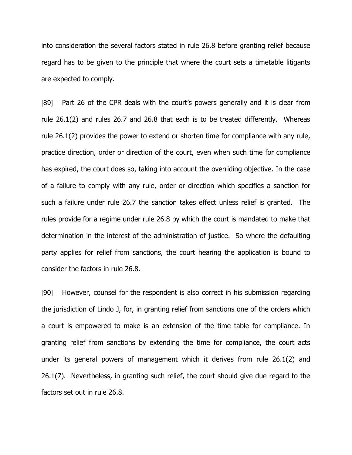into consideration the several factors stated in rule 26.8 before granting relief because regard has to be given to the principle that where the court sets a timetable litigants are expected to comply.

[89] Part 26 of the CPR deals with the court"s powers generally and it is clear from rule 26.1(2) and rules 26.7 and 26.8 that each is to be treated differently. Whereas rule 26.1(2) provides the power to extend or shorten time for compliance with any rule, practice direction, order or direction of the court, even when such time for compliance has expired, the court does so, taking into account the overriding objective. In the case of a failure to comply with any rule, order or direction which specifies a sanction for such a failure under rule 26.7 the sanction takes effect unless relief is granted. The rules provide for a regime under rule 26.8 by which the court is mandated to make that determination in the interest of the administration of justice. So where the defaulting party applies for relief from sanctions, the court hearing the application is bound to consider the factors in rule 26.8.

[90] However, counsel for the respondent is also correct in his submission regarding the jurisdiction of Lindo J, for, in granting relief from sanctions one of the orders which a court is empowered to make is an extension of the time table for compliance. In granting relief from sanctions by extending the time for compliance, the court acts under its general powers of management which it derives from rule 26.1(2) and 26.1(7). Nevertheless, in granting such relief, the court should give due regard to the factors set out in rule 26.8.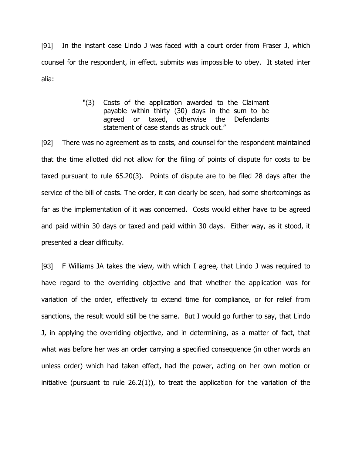[91] In the instant case Lindo J was faced with a court order from Fraser J, which counsel for the respondent, in effect, submits was impossible to obey. It stated inter alia:

> "(3) Costs of the application awarded to the Claimant payable within thirty (30) days in the sum to be agreed or taxed, otherwise the Defendants statement of case stands as struck out."

[92] There was no agreement as to costs, and counsel for the respondent maintained that the time allotted did not allow for the filing of points of dispute for costs to be taxed pursuant to rule 65.20(3). Points of dispute are to be filed 28 days after the service of the bill of costs. The order, it can clearly be seen, had some shortcomings as far as the implementation of it was concerned. Costs would either have to be agreed and paid within 30 days or taxed and paid within 30 days. Either way, as it stood, it presented a clear difficulty.

[93] F Williams JA takes the view, with which I agree, that Lindo J was required to have regard to the overriding objective and that whether the application was for variation of the order, effectively to extend time for compliance, or for relief from sanctions, the result would still be the same. But I would go further to say, that Lindo J, in applying the overriding objective, and in determining, as a matter of fact, that what was before her was an order carrying a specified consequence (in other words an unless order) which had taken effect, had the power, acting on her own motion or initiative (pursuant to rule 26.2(1)), to treat the application for the variation of the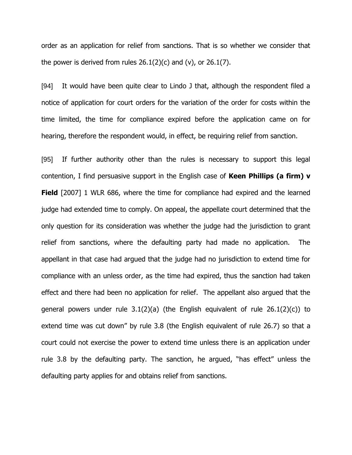order as an application for relief from sanctions. That is so whether we consider that the power is derived from rules  $26.1(2)(c)$  and (v), or  $26.1(7)$ .

[94] It would have been quite clear to Lindo J that, although the respondent filed a notice of application for court orders for the variation of the order for costs within the time limited, the time for compliance expired before the application came on for hearing, therefore the respondent would, in effect, be requiring relief from sanction.

[95] If further authority other than the rules is necessary to support this legal contention, I find persuasive support in the English case of **Keen Phillips (a firm) v Field** [2007] 1 WLR 686, where the time for compliance had expired and the learned judge had extended time to comply. On appeal, the appellate court determined that the only question for its consideration was whether the judge had the jurisdiction to grant relief from sanctions, where the defaulting party had made no application. The appellant in that case had argued that the judge had no jurisdiction to extend time for compliance with an unless order, as the time had expired, thus the sanction had taken effect and there had been no application for relief. The appellant also argued that the general powers under rule  $3.1(2)(a)$  (the English equivalent of rule  $26.1(2)(c)$ ) to extend time was cut down" by rule 3.8 (the English equivalent of rule 26.7) so that a court could not exercise the power to extend time unless there is an application under rule 3.8 by the defaulting party. The sanction, he argued, "has effect" unless the defaulting party applies for and obtains relief from sanctions.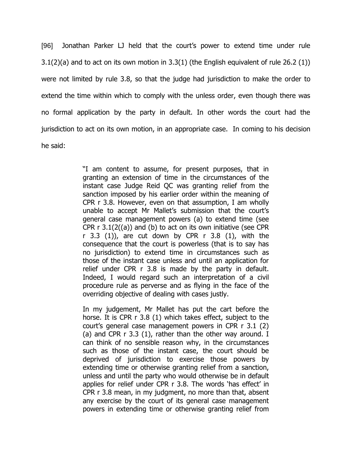[96] Jonathan Parker LJ held that the court"s power to extend time under rule  $3.1(2)(a)$  and to act on its own motion in  $3.3(1)$  (the English equivalent of rule 26.2 (1)) were not limited by rule 3.8, so that the judge had jurisdiction to make the order to extend the time within which to comply with the unless order, even though there was no formal application by the party in default. In other words the court had the jurisdiction to act on its own motion, in an appropriate case. In coming to his decision he said:

> "I am content to assume, for present purposes, that in granting an extension of time in the circumstances of the instant case Judge Reid QC was granting relief from the sanction imposed by his earlier order within the meaning of CPR r 3.8. However, even on that assumption, I am wholly unable to accept Mr Mallet's submission that the court's general case management powers (a) to extend time (see CPR  $r$  3.1(2((a)) and (b) to act on its own initiative (see CPR r 3.3 (1)), are cut down by CPR  $r$  3.8 (1), with the consequence that the court is powerless (that is to say has no jurisdiction) to extend time in circumstances such as those of the instant case unless and until an application for relief under CPR r 3.8 is made by the party in default. Indeed, I would regard such an interpretation of a civil procedure rule as perverse and as flying in the face of the overriding objective of dealing with cases justly.

> In my judgement, Mr Mallet has put the cart before the horse. It is CPR r 3.8 (1) which takes effect, subject to the court's general case management powers in CPR r 3.1 (2) (a) and CPR r 3.3 (1), rather than the other way around. I can think of no sensible reason why, in the circumstances such as those of the instant case, the court should be deprived of jurisdiction to exercise those powers by extending time or otherwise granting relief from a sanction, unless and until the party who would otherwise be in default applies for relief under CPR r 3.8. The words 'has effect' in CPR r 3.8 mean, in my judgment, no more than that, absent any exercise by the court of its general case management powers in extending time or otherwise granting relief from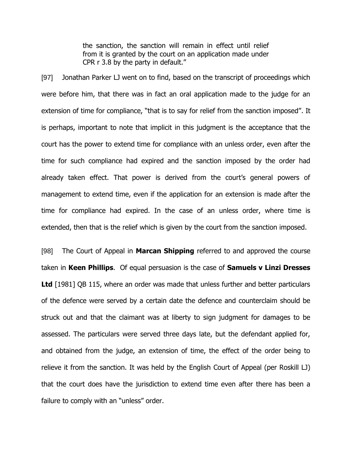the sanction, the sanction will remain in effect until relief from it is granted by the court on an application made under CPR r 3.8 by the party in default."

[97] Jonathan Parker LJ went on to find, based on the transcript of proceedings which were before him, that there was in fact an oral application made to the judge for an extension of time for compliance, "that is to say for relief from the sanction imposed". It is perhaps, important to note that implicit in this judgment is the acceptance that the court has the power to extend time for compliance with an unless order, even after the time for such compliance had expired and the sanction imposed by the order had already taken effect. That power is derived from the court"s general powers of management to extend time, even if the application for an extension is made after the time for compliance had expired. In the case of an unless order, where time is extended, then that is the relief which is given by the court from the sanction imposed.

[98] The Court of Appeal in **Marcan Shipping** referred to and approved the course taken in **Keen Phillips**. Of equal persuasion is the case of **Samuels v Linzi Dresses** Ltd [1981] QB 115, where an order was made that unless further and better particulars of the defence were served by a certain date the defence and counterclaim should be struck out and that the claimant was at liberty to sign judgment for damages to be assessed. The particulars were served three days late, but the defendant applied for, and obtained from the judge, an extension of time, the effect of the order being to relieve it from the sanction. It was held by the English Court of Appeal (per Roskill LJ) that the court does have the jurisdiction to extend time even after there has been a failure to comply with an "unless" order.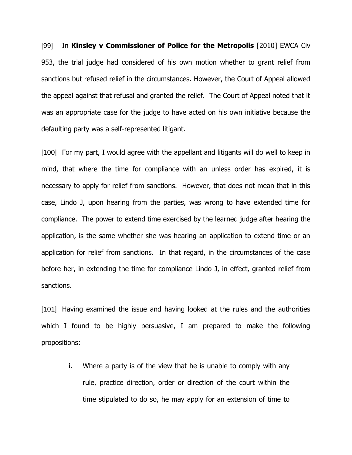[99] In **Kinsley v Commissioner of Police for the Metropolis** [2010] EWCA Civ 953, the trial judge had considered of his own motion whether to grant relief from sanctions but refused relief in the circumstances. However, the Court of Appeal allowed the appeal against that refusal and granted the relief. The Court of Appeal noted that it was an appropriate case for the judge to have acted on his own initiative because the defaulting party was a self-represented litigant.

[100] For my part, I would agree with the appellant and litigants will do well to keep in mind, that where the time for compliance with an unless order has expired, it is necessary to apply for relief from sanctions. However, that does not mean that in this case, Lindo J, upon hearing from the parties, was wrong to have extended time for compliance. The power to extend time exercised by the learned judge after hearing the application, is the same whether she was hearing an application to extend time or an application for relief from sanctions. In that regard, in the circumstances of the case before her, in extending the time for compliance Lindo J, in effect, granted relief from sanctions.

[101] Having examined the issue and having looked at the rules and the authorities which I found to be highly persuasive, I am prepared to make the following propositions:

i. Where a party is of the view that he is unable to comply with any rule, practice direction, order or direction of the court within the time stipulated to do so, he may apply for an extension of time to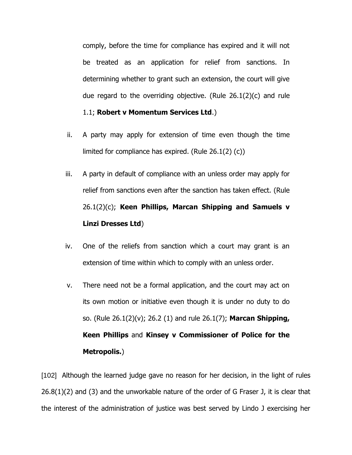comply, before the time for compliance has expired and it will not be treated as an application for relief from sanctions. In determining whether to grant such an extension, the court will give due regard to the overriding objective. (Rule 26.1(2)(c) and rule

#### 1.1; **Robert v Momentum Services Ltd**.)

- ii. A party may apply for extension of time even though the time limited for compliance has expired. (Rule 26.1(2) (c))
- iii. A party in default of compliance with an unless order may apply for relief from sanctions even after the sanction has taken effect. (Rule 26.1(2)(c); **Keen Phillips, Marcan Shipping and Samuels v Linzi Dresses Ltd**)
- iv. One of the reliefs from sanction which a court may grant is an extension of time within which to comply with an unless order.
- v. There need not be a formal application, and the court may act on its own motion or initiative even though it is under no duty to do so. (Rule 26.1(2)(v); 26.2 (1) and rule 26.1(7); **Marcan Shipping, Keen Phillips** and **Kinsey v Commissioner of Police for the Metropolis.**)

[102] Although the learned judge gave no reason for her decision, in the light of rules  $26.8(1)(2)$  and (3) and the unworkable nature of the order of G Fraser J, it is clear that the interest of the administration of justice was best served by Lindo J exercising her